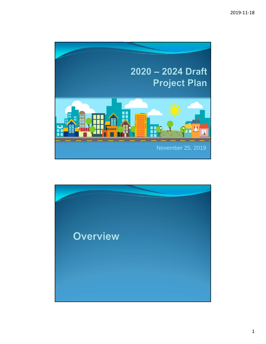

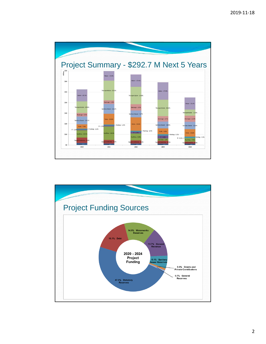

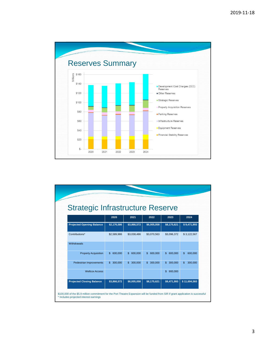

| <b>Strategic Infrastructure Reserve</b> |                         |               |                           |                          |  |  |
|-----------------------------------------|-------------------------|---------------|---------------------------|--------------------------|--|--|
| 2020                                    | 2021                    | 2022          | 2023                      | 2024                     |  |  |
| \$2,176,586                             | \$3,866,572             | \$6,005,058   | \$8,175,621               | \$9,471,993              |  |  |
| \$2,589,986                             | \$3,038,486             | \$3,070,563   | \$3,096,372               | \$3,122,567              |  |  |
|                                         |                         |               |                           |                          |  |  |
| $\mathbf{s}$<br>600,000                 | $\mathbb{S}$<br>600,000 | \$600,000     | $\mathfrak{S}$<br>600,000 | $\mathbf{\$}$<br>600,000 |  |  |
| 300,000<br>\$                           | 300,000<br>$\mathbb{S}$ | 300,000<br>\$ | 300,000<br>$\mathbb{S}$   | \$<br>300,000            |  |  |
|                                         |                         |               | $\mathbf{s}$<br>900,000   |                          |  |  |
| \$3,866,572                             | \$6,005,058             | \$8,175,621   | \$9,471,993               | \$11,694,560             |  |  |
|                                         |                         |               |                           |                          |  |  |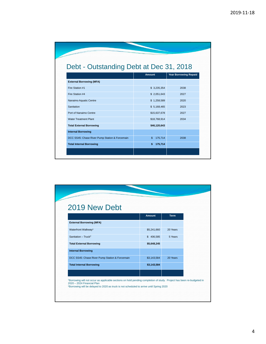| Debt - Outstanding Debt at Dec 31, 2018        |               |                              |  |  |  |
|------------------------------------------------|---------------|------------------------------|--|--|--|
|                                                | Amount        | <b>Year Borrowing Repaid</b> |  |  |  |
| <b>External Borrowing (MFA)</b>                |               |                              |  |  |  |
| Fire Station #1                                | \$3,235,354   | 2038                         |  |  |  |
| Fire Station #4                                | \$2,051,643   | 2027                         |  |  |  |
| Nanaimo Aquatic Centre                         | \$1,258,589   | 2020                         |  |  |  |
| Sanitation                                     | \$5,168,465   | 2023                         |  |  |  |
| Port of Nanaimo Centre                         | \$15,637,678  | 2027                         |  |  |  |
| <b>Water Treatment Plant</b>                   | \$18,768,914  | 2034                         |  |  |  |
| <b>Total External Borrowing</b>                | \$46,120,643  |                              |  |  |  |
| <b>Internal Borrowing</b>                      |               |                              |  |  |  |
| DCC SS45: Chase River Pump Station & Forcemain | 175,714<br>\$ | 2038                         |  |  |  |
| <b>Total Internal Borrowing</b>                | 175,714<br>\$ |                              |  |  |  |

| 2019 New Debt                                  |               |             |  |
|------------------------------------------------|---------------|-------------|--|
|                                                | <b>Amount</b> | <b>Term</b> |  |
| <b>External Borrowing (MFA)</b>                |               |             |  |
| Waterfront Walkway <sup>1</sup>                | \$5,241,660   | 20 Years    |  |
| Sanitation - Truck <sup>2</sup>                | \$406,585     | 5 Years     |  |
| <b>Total External Borrowing</b>                | \$5,648,245   |             |  |
| <b>Internal Borrowing</b>                      |               |             |  |
| DCC SS45: Chase River Pump Station & Forcemain | \$3,143,584   | 20 Years    |  |
| <b>Total Internal Borrowing</b>                | \$3,143,584   |             |  |
|                                                |               |             |  |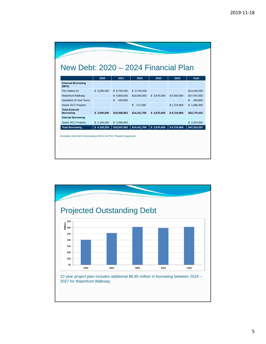|                                           | 2020         |                |                         |             |             |               |
|-------------------------------------------|--------------|----------------|-------------------------|-------------|-------------|---------------|
| <b>External Borrowing</b><br>(MFA)        |              | 2021           | 2022                    | 2023        | 2024        | <b>Total</b>  |
| Fire Station #1                           | \$ 3,000,000 | \$6.700.000    | \$3,740,269             |             |             | \$13,440,269  |
| <b>Waterfront Walkway</b>                 |              | \$8,800,000    | \$10,500,000            | \$3,675,000 | \$5,000,000 | \$27,975,000  |
| Sanitation (5 Year Term)                  |              | \$.<br>458,863 |                         |             |             | \$<br>458,863 |
| <b>Sewer DCC Projects</b>                 |              |                | $\mathbf{s}$<br>171,500 |             | \$1,724,800 | \$1,896,300   |
| <b>Total External</b><br><b>Borrowing</b> | \$3.000.000  | \$15,958,863   | \$14,411,769            | \$3.675.000 | \$6,724,800 | \$43.770.432  |
| <b>Internal Borrowing</b>                 |              |                |                         |             |             |               |
| <b>Sewer DCC Projects</b>                 | \$1,165,265  | \$2.088.600    |                         |             |             | \$3,253,865   |
| <b>Total Borrowing</b>                    | \$4,165,265  | \$18,047,463   | \$14,411,769            | \$3,675,000 | \$6,724,800 | \$47,024,297  |

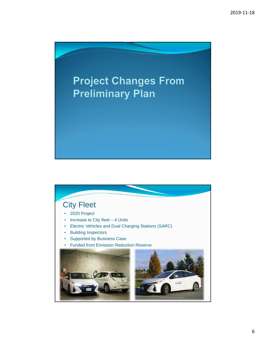

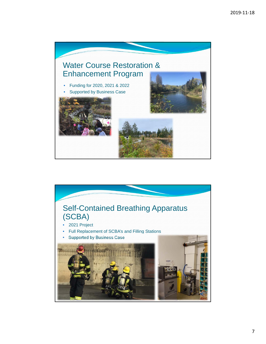

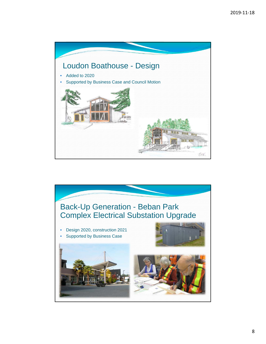